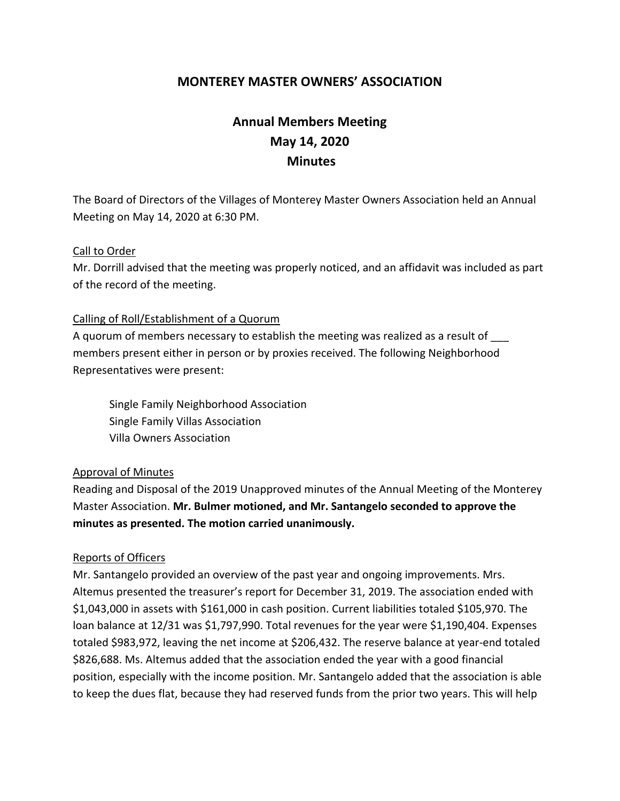# **MONTEREY MASTER OWNERS' ASSOCIATION**

# **Annual Members Meeting May 14, 2020 Minutes**

The Board of Directors of the Villages of Monterey Master Owners Association held an Annual Meeting on May 14, 2020 at 6:30 PM.

#### Call to Order

Mr. Dorrill advised that the meeting was properly noticed, and an affidavit was included as part of the record of the meeting.

#### Calling of Roll/Establishment of a Quorum

A quorum of members necessary to establish the meeting was realized as a result of members present either in person or by proxies received. The following Neighborhood Representatives were present:

Single Family Neighborhood Association Single Family Villas Association Villa Owners Association

#### Approval of Minutes

Reading and Disposal of the 2019 Unapproved minutes of the Annual Meeting of the Monterey Master Association. **Mr. Bulmer motioned, and Mr. Santangelo seconded to approve the minutes as presented. The motion carried unanimously.**

#### Reports of Officers

Mr. Santangelo provided an overview of the past year and ongoing improvements. Mrs. Altemus presented the treasurer's report for December 31, 2019. The association ended with \$1,043,000 in assets with \$161,000 in cash position. Current liabilities totaled \$105,970. The loan balance at 12/31 was \$1,797,990. Total revenues for the year were \$1,190,404. Expenses totaled \$983,972, leaving the net income at \$206,432. The reserve balance at year-end totaled \$826,688. Ms. Altemus added that the association ended the year with a good financial position, especially with the income position. Mr. Santangelo added that the association is able to keep the dues flat, because they had reserved funds from the prior two years. This will help